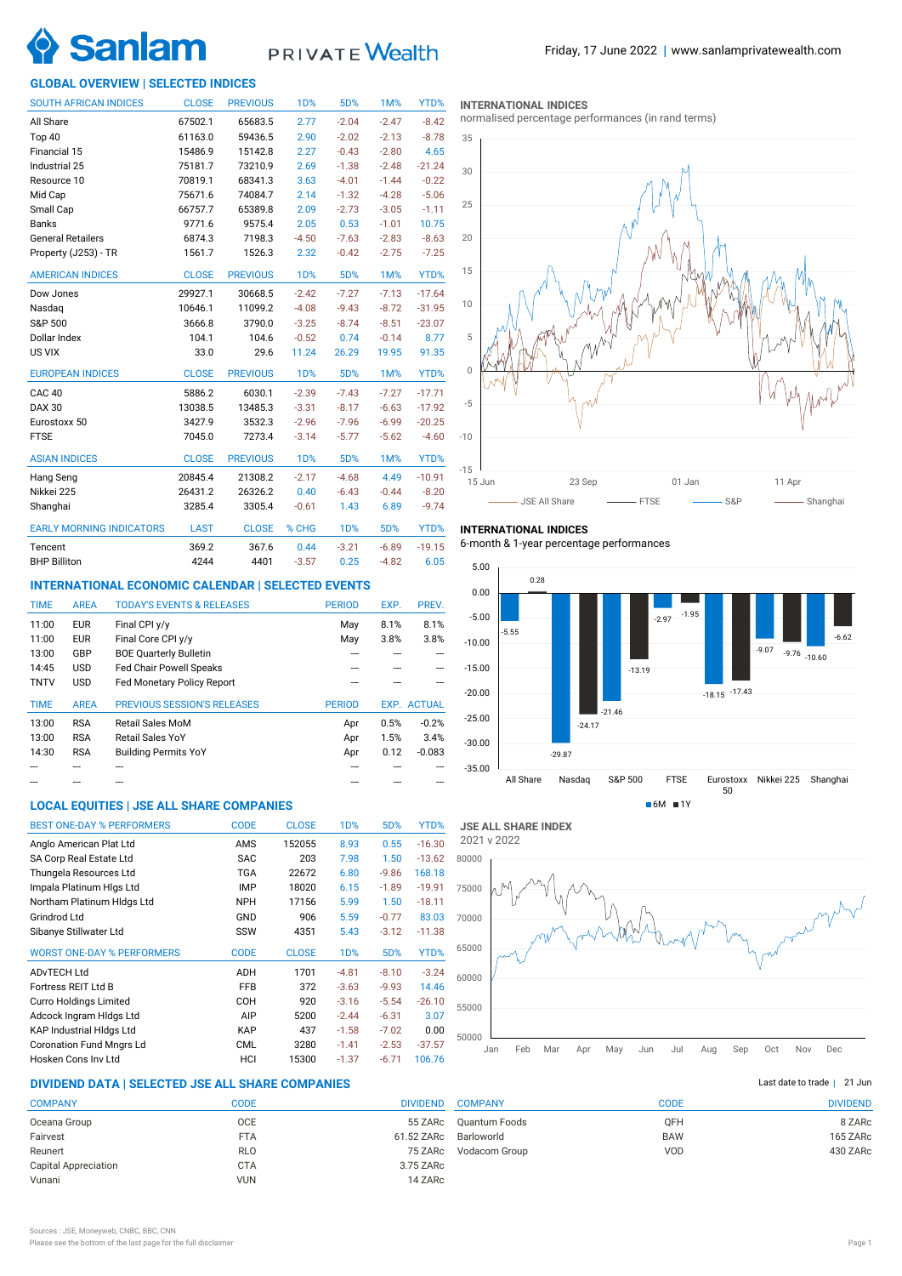

# PRIVATE Wealth

## **GLOBAL OVERVIEW | SELECTED INDICES**

| <b>SOUTH AFRICAN INDICES</b>    | <b>CLOSE</b> | <b>PREVIOUS</b> | <b>1D%</b>       | 5D%              | <b>1M%</b> | YTD%     |
|---------------------------------|--------------|-----------------|------------------|------------------|------------|----------|
| All Share                       | 67502.1      | 65683.5         | 2.77             | $-2.04$          | $-2.47$    | $-8.42$  |
| Top 40                          | 61163.0      | 59436.5         | 2.90             | $-2.02$          | $-2.13$    | $-8.78$  |
| Financial 15                    | 15486.9      | 15142.8         | 2.27             | $-0.43$          | $-2.80$    | 4.65     |
| Industrial 25                   | 75181.7      | 73210.9         | 2.69             | $-1.38$          | $-2.48$    | $-21.24$ |
| Resource 10                     | 70819.1      | 68341.3         | 3.63             | $-4.01$          | $-1.44$    | $-0.22$  |
| Mid Cap                         | 75671.6      | 74084.7         | 2.14             | $-1.32$          | $-4.28$    | $-5.06$  |
| Small Cap                       | 66757.7      | 65389.8         | 2.09             | $-2.73$          | $-3.05$    | $-1.11$  |
| <b>Banks</b>                    | 9771.6       | 9575.4          | 2.05             | 0.53             | $-1.01$    | 10.75    |
| <b>General Retailers</b>        | 6874.3       | 7198.3          | $-4.50$          | $-7.63$          | $-2.83$    | $-8.63$  |
| Property (J253) - TR            | 1561.7       | 1526.3          | 2.32             | $-0.42$          | $-2.75$    | $-7.25$  |
| <b>AMERICAN INDICES</b>         | <b>CLOSE</b> | <b>PREVIOUS</b> | 1 <sub>D</sub> % | 5D%              | 1M%        | YTD%     |
| Dow Jones                       | 29927.1      | 30668.5         | $-2.42$          | $-7.27$          | $-7.13$    | $-17.64$ |
| Nasdag                          | 10646.1      | 11099.2         | $-4.08$          | $-9.43$          | $-8.72$    | $-31.95$ |
| S&P 500                         | 3666.8       | 3790.0          | $-3.25$          | $-8.74$          | $-8.51$    | $-23.07$ |
| Dollar Index                    | 104.1        | 104.6           | $-0.52$          | 0.74             | $-0.14$    | 8.77     |
| US VIX                          | 33.0         | 29.6            | 11.24            | 26.29            | 19.95      | 91.35    |
| <b>EUROPEAN INDICES</b>         | <b>CLOSE</b> | <b>PREVIOUS</b> | <b>1D%</b>       | 5D%              | 1M%        | YTD%     |
| CAC <sub>40</sub>               | 5886.2       | 6030.1          | $-2.39$          | $-7.43$          | $-7.27$    | $-17.71$ |
| <b>DAX 30</b>                   | 13038.5      | 13485.3         | $-3.31$          | $-8.17$          | $-6.63$    | $-17.92$ |
| Eurostoxx 50                    | 3427.9       | 3532.3          | $-2.96$          | $-7.96$          | $-6.99$    | $-20.25$ |
| <b>FTSE</b>                     | 7045.0       | 7273.4          | $-3.14$          | $-5.77$          | $-5.62$    | $-4.60$  |
| <b>ASIAN INDICES</b>            | <b>CLOSE</b> | <b>PREVIOUS</b> | <b>1D%</b>       | 5D%              | 1M%        | YTD%     |
| Hang Seng                       | 20845.4      | 21308.2         | $-2.17$          | $-4.68$          | 4.49       | $-10.91$ |
| Nikkei 225                      | 26431.2      | 26326.2         | 0.40             | $-6.43$          | $-0.44$    | $-8.20$  |
| Shanghai                        | 3285.4       | 3305.4          | $-0.61$          | 1.43             | 6.89       | $-9.74$  |
| <b>EARLY MORNING INDICATORS</b> | <b>LAST</b>  | <b>CLOSE</b>    | % CHG            | 1 <sub>D</sub> % | 5D%        | YTD%     |
| Tencent                         | 369.2        | 367.6           | 0.44             | $-3.21$          | $-6.89$    | $-19.15$ |
| <b>BHP Billiton</b>             | 4244         | 4401            | $-3.57$          | 0.25             | $-4.82$    | 6.05     |

## **INTERNATIONAL ECONOMIC CALENDAR | SELECTED EVENTS**

| <b>AREA</b> | <b>TODAY'S EVENTS &amp; RELEASES</b> | <b>PERIOD</b> | EXP. | PREV.              |
|-------------|--------------------------------------|---------------|------|--------------------|
| <b>EUR</b>  | Final CPI y/y                        | May           | 8.1% | 8.1%               |
| <b>EUR</b>  | Final Core CPI y/y                   | May           | 3.8% | 3.8%               |
| GBP         | <b>BOE Quarterly Bulletin</b>        |               |      |                    |
| <b>USD</b>  | <b>Fed Chair Powell Speaks</b>       |               |      |                    |
| <b>USD</b>  | <b>Fed Monetary Policy Report</b>    |               |      |                    |
|             |                                      |               |      |                    |
| <b>AREA</b> | <b>PREVIOUS SESSION'S RELEASES</b>   | <b>PERIOD</b> |      | <b>EXP. ACTUAL</b> |
| <b>RSA</b>  | Retail Sales MoM                     | Apr           | 0.5% | $-0.2%$            |
| <b>RSA</b>  | <b>Retail Sales YoY</b>              | Apr           | 1.5% | 3.4%               |
| <b>RSA</b>  | <b>Building Permits YoY</b>          | Apr           | 0.12 | $-0.083$           |
|             |                                      |               |      |                    |
|             |                                      |               |      |                    |

## **LOCAL EQUITIES | JSE ALL SHARE COMPANIES**

| <b>BEST ONE-DAY % PERFORMERS</b>  | <b>CODE</b> | <b>CLOSE</b> | 1 <sub>D</sub> % | 5D%     | YTD%     |
|-----------------------------------|-------------|--------------|------------------|---------|----------|
| Anglo American Plat Ltd           | AMS         | 152055       | 8.93             | 0.55    | $-16.30$ |
| SA Corp Real Estate Ltd           | <b>SAC</b>  | 203          | 7.98             | 1.50    | $-13.62$ |
| Thungela Resources Ltd            | <b>TGA</b>  | 22672        | 6.80             | $-9.86$ | 168.18   |
| Impala Platinum Hlgs Ltd          | <b>IMP</b>  | 18020        | 6.15             | $-1.89$ | $-19.91$ |
| Northam Platinum HIdgs Ltd        | <b>NPH</b>  | 17156        | 5.99             | 1.50    | $-18.11$ |
| Grindrod Ltd                      | GND         | 906          | 5.59             | $-0.77$ | 83.03    |
| Sibanye Stillwater Ltd            | SSW         | 4351         | 5.43             | $-3.12$ | $-11.38$ |
| <b>WORST ONE-DAY % PERFORMERS</b> | <b>CODE</b> | <b>CLOSE</b> | 1 <sub>D</sub> % | 5D%     | YTD%     |
| <b>ADvTECH Ltd</b>                | ADH         | 1701         | $-4.81$          | $-8.10$ | $-3.24$  |
| Fortress REIT Ltd B               | <b>FFB</b>  | 372          | $-3.63$          | $-9.93$ | 14.46    |
| <b>Curro Holdings Limited</b>     | COH         | 920          | $-3.16$          | $-5.54$ | $-26.10$ |
| Adcock Ingram Hidgs Ltd           | AIP         | 5200         | $-2.44$          | $-6.31$ | 3.07     |
| <b>KAP Industrial Hidgs Ltd</b>   | <b>KAP</b>  | 437          | $-1.58$          | $-7.02$ | 0.00     |
| <b>Coronation Fund Mngrs Ld</b>   | <b>CML</b>  | 3280         | $-1.41$          | $-2.53$ | $-37.57$ |
| Hosken Cons Inv Ltd               | HCI         | 15300        | $-1.37$          | $-6.71$ | 106.76   |

## **DIVIDEND DATA | SELECTED JSE ALL SHARE COMPANIES |**

| <b>COMPANY</b>              | CODE       | <b>DIVIDEND</b> |
|-----------------------------|------------|-----------------|
| Oceana Group                | <b>OCE</b> | 55 ZARc         |
| Fairvest                    | <b>FTA</b> | 61.52 ZARc      |
| Reunert                     | <b>RLO</b> | 75 ZARc         |
| <b>Capital Appreciation</b> | <b>CTA</b> | 3.75 ZARc       |
| Vunani                      | <b>VUN</b> | 14 ZARc         |
|                             |            |                 |

#### **INTERNATIONAL INDICES**

normalised percentage performances (in rand terms)



## **INTERNATIONAL INDICES**

6-month & 1-year percentage performances





## Last date to trade | 21 Jun

| <b>COMPANY</b> | CODE       | <b>DIVIDEND</b> |
|----------------|------------|-----------------|
| Quantum Foods  | <b>OFH</b> | 8 ZARc          |
| Barloworld     | <b>BAW</b> | 165 ZARc        |
| Vodacom Group  | VOD        | 430 ZARc        |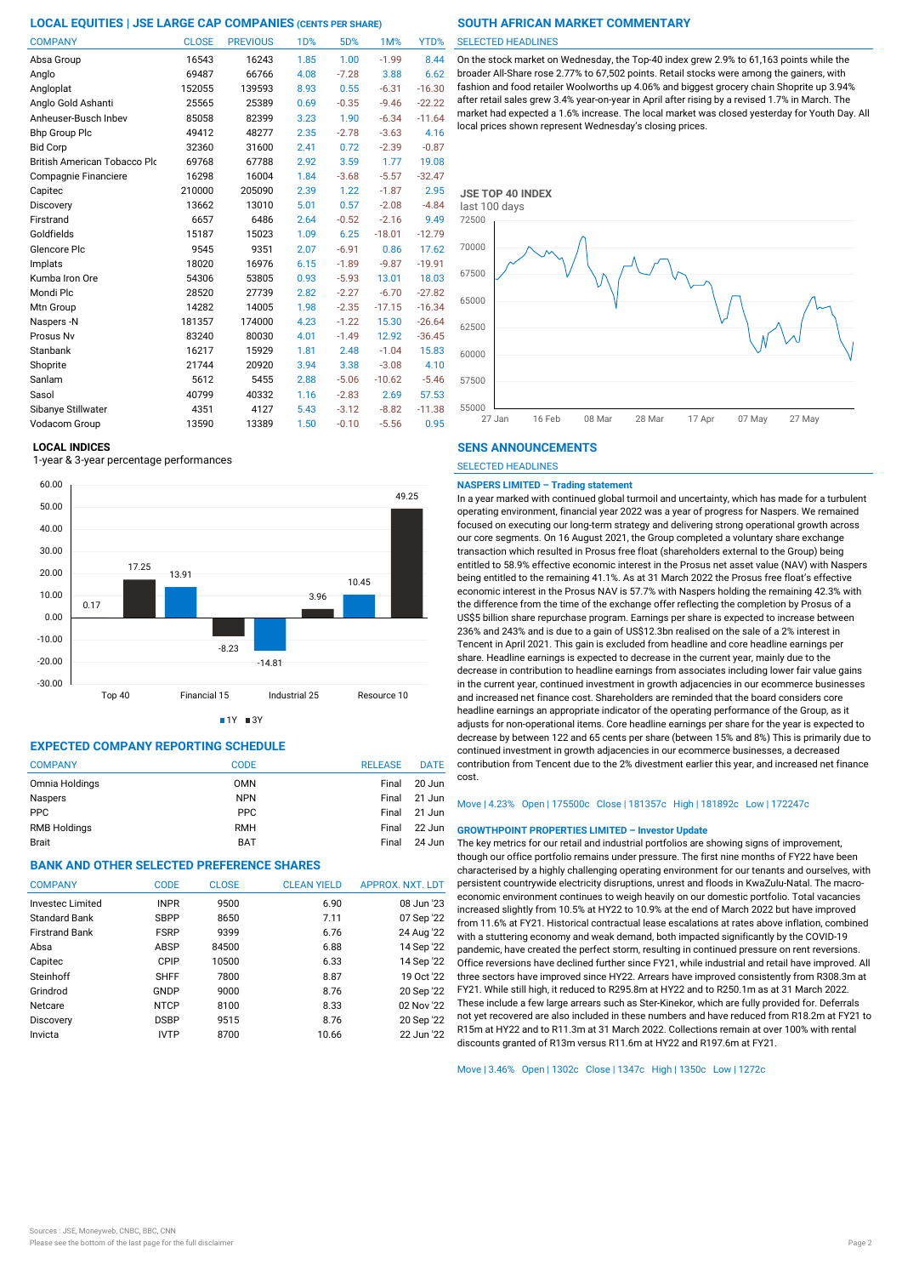| <b>COMPANY</b>                      | <b>CLOSE</b> | <b>PREVIOUS</b> | 1 <sub>D</sub> % | 5D%     | 1M%      | YTD%     |
|-------------------------------------|--------------|-----------------|------------------|---------|----------|----------|
| Absa Group                          | 16543        | 16243           | 1.85             | 1.00    | $-1.99$  | 8.44     |
| Anglo                               | 69487        | 66766           | 4.08             | $-7.28$ | 3.88     | 6.62     |
| Angloplat                           | 152055       | 139593          | 8.93             | 0.55    | $-6.31$  | $-16.30$ |
| Anglo Gold Ashanti                  | 25565        | 25389           | 0.69             | $-0.35$ | $-9.46$  | $-22.22$ |
| Anheuser-Busch Inbev                | 85058        | 82399           | 3.23             | 1.90    | $-6.34$  | $-11.64$ |
| <b>Bhp Group Plc</b>                | 49412        | 48277           | 2.35             | $-2.78$ | $-3.63$  | 4.16     |
| <b>Bid Corp</b>                     | 32360        | 31600           | 2.41             | 0.72    | $-2.39$  | $-0.87$  |
| <b>British American Tobacco Plo</b> | 69768        | 67788           | 2.92             | 3.59    | 1.77     | 19.08    |
| Compagnie Financiere                | 16298        | 16004           | 1.84             | $-3.68$ | $-5.57$  | $-32.47$ |
| Capitec                             | 210000       | 205090          | 2.39             | 1.22    | $-1.87$  | 2.95     |
| Discovery                           | 13662        | 13010           | 5.01             | 0.57    | $-2.08$  | $-4.84$  |
| Firstrand                           | 6657         | 6486            | 2.64             | $-0.52$ | $-2.16$  | 9.49     |
| Goldfields                          | 15187        | 15023           | 1.09             | 6.25    | $-18.01$ | $-12.79$ |
| Glencore Plc                        | 9545         | 9351            | 2.07             | $-6.91$ | 0.86     | 17.62    |
| Implats                             | 18020        | 16976           | 6.15             | $-1.89$ | $-9.87$  | $-19.91$ |
| Kumba Iron Ore                      | 54306        | 53805           | 0.93             | $-5.93$ | 13.01    | 18.03    |
| Mondi Plc                           | 28520        | 27739           | 2.82             | $-2.27$ | $-6.70$  | $-27.82$ |
| Mtn Group                           | 14282        | 14005           | 1.98             | $-2.35$ | $-17.15$ | $-16.34$ |
| Naspers -N                          | 181357       | 174000          | 4.23             | $-1.22$ | 15.30    | $-26.64$ |
| Prosus Nv                           | 83240        | 80030           | 4.01             | $-1.49$ | 12.92    | $-36.45$ |
| Stanbank                            | 16217        | 15929           | 1.81             | 2.48    | $-1.04$  | 15.83    |
| Shoprite                            | 21744        | 20920           | 3.94             | 3.38    | $-3.08$  | 4.10     |
| Sanlam                              | 5612         | 5455            | 2.88             | $-5.06$ | $-10.62$ | $-5.46$  |
| Sasol                               | 40799        | 40332           | 1.16             | $-2.83$ | 2.69     | 57.53    |
| Sibanye Stillwater                  | 4351         | 4127            | 5.43             | $-3.12$ | $-8.82$  | $-11.38$ |
| Vodacom Group                       | 13590        | 13389           | 1.50             | $-0.10$ | $-5.56$  | 0.95     |

### **LOCAL INDICES**

1-year & 3-year percentage performances



 $1Y = 3Y$ 

## **EXPECTED COMPANY REPORTING SCHEDULE**

| <b>COMPANY</b>      | <b>CODE</b> | <b>RELEASE</b> | <b>DATE</b> |
|---------------------|-------------|----------------|-------------|
| Omnia Holdings      | <b>OMN</b>  | Final          | 20 Jun      |
| <b>Naspers</b>      | <b>NPN</b>  | Final          | 21 Jun      |
| <b>PPC</b>          | <b>PPC</b>  | Final          | 21 Jun      |
| <b>RMB Holdings</b> | <b>RMH</b>  | Final          | 22 Jun      |
| <b>Brait</b>        | <b>BAT</b>  | Final          | 24 Jun      |

## **BANK AND OTHER SELECTED PREFERENCE SHARES**

| <b>COMPANY</b>          | <b>CODE</b> | <b>CLOSE</b> | <b>CLEAN YIELD</b> | <b>APPROX, NXT, LDT</b> |
|-------------------------|-------------|--------------|--------------------|-------------------------|
| <b>Invested Limited</b> | <b>INPR</b> | 9500         | 6.90               | 08 Jun '23              |
| Standard Bank           | <b>SBPP</b> | 8650         | 7.11               | 07 Sep '22              |
| <b>Firstrand Bank</b>   | <b>FSRP</b> | 9399         | 6.76               | 24 Aug '22              |
| Absa                    | ABSP        | 84500        | 6.88               | 14 Sep '22              |
| Capitec                 | CPIP        | 10500        | 6.33               | 14 Sep '22              |
| Steinhoff               | <b>SHFF</b> | 7800         | 8.87               | 19 Oct '22              |
| Grindrod                | GNDP        | 9000         | 8.76               | 20 Sep '22              |
| Netcare                 | <b>NTCP</b> | 8100         | 8.33               | 02 Nov '22              |
| Discovery               | <b>DSBP</b> | 9515         | 8.76               | 20 Sep '22              |
| Invicta                 | <b>IVTP</b> | 8700         | 10.66              | 22 Jun '22              |

#### SELECTED HEADLINES

On the stock market on Wednesday, the Top-40 index grew 2.9% to 61,163 points while the broader All-Share rose 2.77% to 67,502 points. Retail stocks were among the gainers, with fashion and food retailer Woolworths up 4.06% and biggest grocery chain Shoprite up 3.94% after retail sales grew 3.4% year-on-year in April after rising by a revised 1.7% in March. The market had expected a 1.6% increase. The local market was closed yesterday for Youth Day. All local prices shown represent Wednesday's closing prices.



### **SENS ANNOUNCEMENTS**

SELECTED HEADLINES

#### **NASPERS LIMITED – Trading statement**

In a year marked with continued global turmoil and uncertainty, which has made for a turbulent operating environment, financial year 2022 was a year of progress for Naspers. We remained focused on executing our long-term strategy and delivering strong operational growth across our core segments. On 16 August 2021, the Group completed a voluntary share exchange transaction which resulted in Prosus free float (shareholders external to the Group) being entitled to 58.9% effective economic interest in the Prosus net asset value (NAV) with Naspers being entitled to the remaining 41.1%. As at 31 March 2022 the Prosus free float's effective economic interest in the Prosus NAV is 57.7% with Naspers holding the remaining 42.3% with the difference from the time of the exchange offer reflecting the completion by Prosus of a US\$5 billion share repurchase program. Earnings per share is expected to increase between 236% and 243% and is due to a gain of US\$12.3bn realised on the sale of a 2% interest in Tencent in April 2021. This gain is excluded from headline and core headline earnings per share. Headline earnings is expected to decrease in the current year, mainly due to the decrease in contribution to headline earnings from associates including lower fair value gains in the current year, continued investment in growth adjacencies in our ecommerce businesses and increased net finance cost. Shareholders are reminded that the board considers core headline earnings an appropriate indicator of the operating performance of the Group, as it adjusts for non-operational items. Core headline earnings per share for the year is expected to decrease by between 122 and 65 cents per share (between 15% and 8%) This is primarily due to continued investment in growth adjacencies in our ecommerce businesses, a decreased contribution from Tencent due to the 2% divestment earlier this year, and increased net finance cost.

## Move | 4.23% Open | 175500c Close | 181357c High | 181892c Low | 172247c

#### **GROWTHPOINT PROPERTIES LIMITED – Investor Update**

The key metrics for our retail and industrial portfolios are showing signs of improvement, though our office portfolio remains under pressure. The first nine months of FY22 have been characterised by a highly challenging operating environment for our tenants and ourselves, with persistent countrywide electricity disruptions, unrest and floods in KwaZulu-Natal. The macroeconomic environment continues to weigh heavily on our domestic portfolio. Total vacancies increased slightly from 10.5% at HY22 to 10.9% at the end of March 2022 but have improved from 11.6% at FY21. Historical contractual lease escalations at rates above inflation, combined with a stuttering economy and weak demand, both impacted significantly by the COVID-19 pandemic, have created the perfect storm, resulting in continued pressure on rent reversions. Office reversions have declined further since FY21, while industrial and retail have improved. All three sectors have improved since HY22. Arrears have improved consistently from R308.3m at FY21. While still high, it reduced to R295.8m at HY22 and to R250.1m as at 31 March 2022. These include a few large arrears such as Ster-Kinekor, which are fully provided for. Deferrals not yet recovered are also included in these numbers and have reduced from R18.2m at FY21 to R15m at HY22 and to R11.3m at 31 March 2022. Collections remain at over 100% with rental discounts granted of R13m versus R11.6m at HY22 and R197.6m at FY21.

Move | 3.46% Open | 1302c Close | 1347c High | 1350c Low | 1272c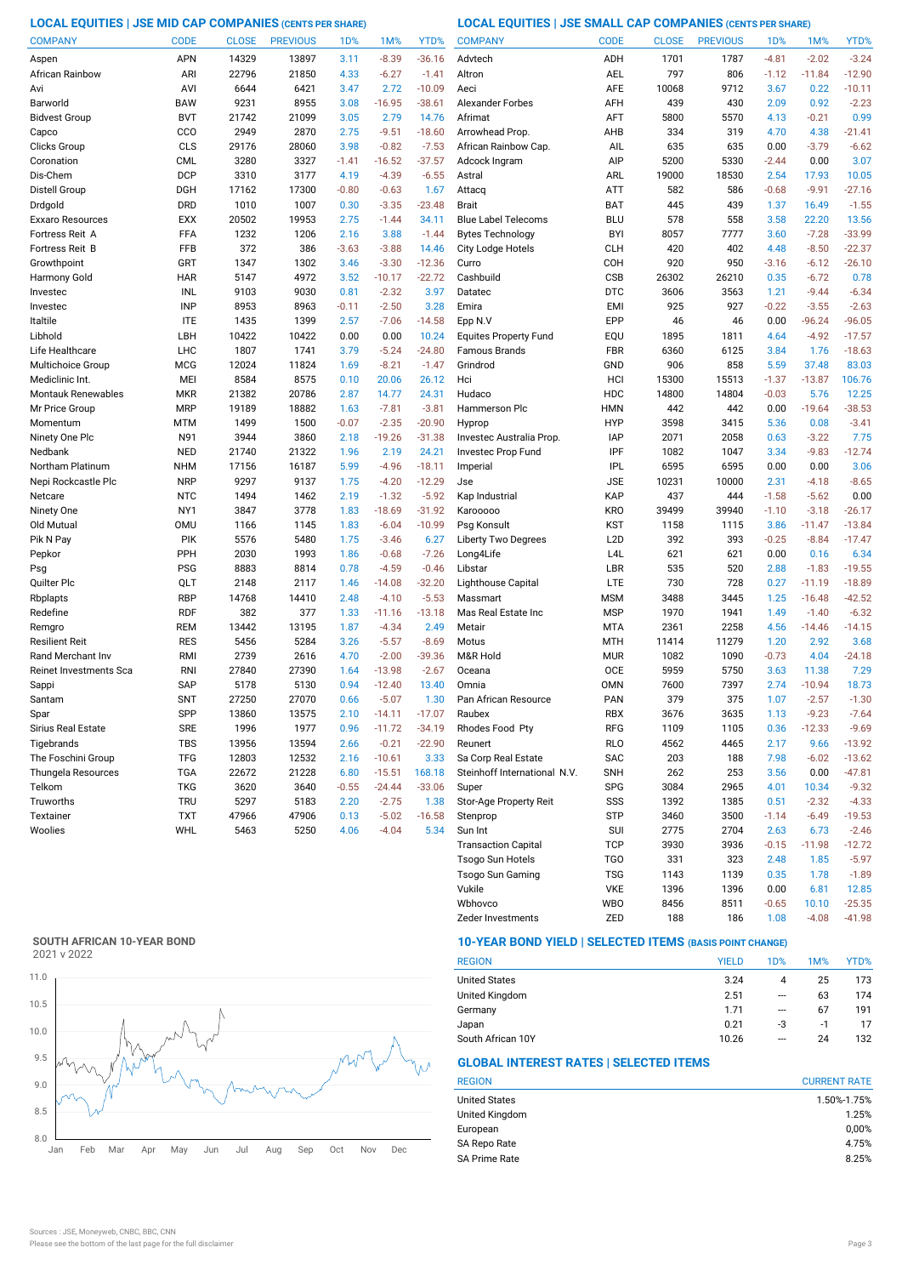## **LOCAL EQUITIES | JSE MID CAP COMPANIES (CENTS PER SHARE) LOCAL EQUITIES | JSE SMALL CAP COMPANIES (CENTS PER SHARE)**

| <b>COMPANY</b>            | <b>CODE</b> | <b>CLOSE</b> | <b>PREVIOUS</b> | 1 <sub>D</sub> % | 1M%      | YTD%     | <b>COMPANY</b>               | <b>CODE</b>      | <b>CLOSE</b> | <b>PREVIOUS</b> | 1D%     | 1M%      | YTD%     |
|---------------------------|-------------|--------------|-----------------|------------------|----------|----------|------------------------------|------------------|--------------|-----------------|---------|----------|----------|
| Aspen                     | <b>APN</b>  | 14329        | 13897           | 3.11             | $-8.39$  | $-36.16$ | Advtech                      | ADH              | 1701         | 1787            | $-4.81$ | $-2.02$  | $-3.24$  |
| African Rainbow           | ARI         | 22796        | 21850           | 4.33             | $-6.27$  | $-1.41$  | Altron                       | AEL              | 797          | 806             | $-1.12$ | $-11.84$ | $-12.90$ |
| Avi                       | AVI         | 6644         | 6421            | 3.47             | 2.72     | $-10.09$ | Aeci                         | AFE              | 10068        | 9712            | 3.67    | 0.22     | $-10.11$ |
| Barworld                  | <b>BAW</b>  | 9231         | 8955            | 3.08             | $-16.95$ | $-38.61$ | <b>Alexander Forbes</b>      | AFH              | 439          | 430             | 2.09    | 0.92     | $-2.23$  |
| <b>Bidvest Group</b>      | <b>BVT</b>  | 21742        | 21099           | 3.05             | 2.79     | 14.76    | Afrimat                      | AFT              | 5800         | 5570            | 4.13    | $-0.21$  | 0.99     |
| Capco                     | CCO         | 2949         | 2870            | 2.75             | $-9.51$  | $-18.60$ | Arrowhead Prop.              | AHB              | 334          | 319             | 4.70    | 4.38     | $-21.41$ |
| Clicks Group              | CLS         | 29176        | 28060           | 3.98             | $-0.82$  | $-7.53$  | African Rainbow Cap.         | AIL              | 635          | 635             | 0.00    | $-3.79$  | $-6.62$  |
| Coronation                | <b>CML</b>  | 3280         | 3327            | $-1.41$          | $-16.52$ | $-37.57$ | Adcock Ingram                | AIP              | 5200         | 5330            | $-2.44$ | 0.00     | 3.07     |
| Dis-Chem                  | <b>DCP</b>  | 3310         | 3177            | 4.19             | $-4.39$  | $-6.55$  | Astral                       | ARL              | 19000        | 18530           | 2.54    | 17.93    | 10.05    |
| Distell Group             | DGH         | 17162        | 17300           | $-0.80$          | $-0.63$  | 1.67     | Attacq                       | ATT              | 582          | 586             | $-0.68$ | $-9.91$  | $-27.16$ |
| Drdgold                   | <b>DRD</b>  | 1010         | 1007            | 0.30             | $-3.35$  | $-23.48$ | <b>Brait</b>                 | <b>BAT</b>       | 445          | 439             | 1.37    | 16.49    | $-1.55$  |
| Exxaro Resources          | <b>EXX</b>  | 20502        | 19953           | 2.75             | $-1.44$  | 34.11    | <b>Blue Label Telecoms</b>   | <b>BLU</b>       | 578          | 558             | 3.58    | 22.20    | 13.56    |
| Fortress Reit A           | FFA         | 1232         | 1206            | 2.16             | 3.88     | $-1.44$  | <b>Bytes Technology</b>      | <b>BYI</b>       | 8057         | 7777            | 3.60    | $-7.28$  | $-33.99$ |
| Fortress Reit B           | FFB         | 372          | 386             | $-3.63$          | $-3.88$  | 14.46    | <b>City Lodge Hotels</b>     | <b>CLH</b>       | 420          | 402             | 4.48    | $-8.50$  | $-22.37$ |
| Growthpoint               | GRT         | 1347         | 1302            | 3.46             | $-3.30$  | $-12.36$ | Curro                        | COH              | 920          | 950             | $-3.16$ | $-6.12$  | $-26.10$ |
| Harmony Gold              | <b>HAR</b>  | 5147         | 4972            | 3.52             | $-10.17$ | $-22.72$ | Cashbuild                    | CSB              | 26302        | 26210           | 0.35    | $-6.72$  | 0.78     |
| Investec                  | INL         | 9103         | 9030            | 0.81             | $-2.32$  | 3.97     | Datatec                      | <b>DTC</b>       | 3606         | 3563            | 1.21    | $-9.44$  | $-6.34$  |
| Investec                  | <b>INP</b>  | 8953         | 8963            | $-0.11$          | $-2.50$  | 3.28     | Emira                        | EMI              | 925          | 927             | $-0.22$ | $-3.55$  | $-2.63$  |
| Italtile                  | <b>ITE</b>  | 1435         | 1399            | 2.57             | $-7.06$  | $-14.58$ | Epp N.V                      | EPP              | 46           | 46              | 0.00    | $-96.24$ | $-96.05$ |
| Libhold                   | LBH         | 10422        | 10422           | 0.00             | 0.00     | 10.24    | <b>Equites Property Fund</b> | EQU              | 1895         | 1811            | 4.64    | $-4.92$  | $-17.57$ |
| Life Healthcare           | LHC         | 1807         | 1741            | 3.79             | $-5.24$  | $-24.80$ | Famous Brands                | <b>FBR</b>       | 6360         | 6125            | 3.84    | 1.76     | $-18.63$ |
| Multichoice Group         | <b>MCG</b>  | 12024        | 11824           | 1.69             | $-8.21$  | $-1.47$  | Grindrod                     | GND              | 906          | 858             | 5.59    | 37.48    | 83.03    |
| Mediclinic Int.           | MEI         | 8584         | 8575            | 0.10             | 20.06    | 26.12    | Hci                          | HCI              | 15300        | 15513           | $-1.37$ | $-13.87$ | 106.76   |
| <b>Montauk Renewables</b> | <b>MKR</b>  | 21382        | 20786           | 2.87             | 14.77    | 24.31    | Hudaco                       | <b>HDC</b>       | 14800        | 14804           | $-0.03$ | 5.76     | 12.25    |
| Mr Price Group            | <b>MRP</b>  | 19189        | 18882           | 1.63             | $-7.81$  | $-3.81$  | Hammerson Plc                | <b>HMN</b>       | 442          | 442             | 0.00    | $-19.64$ | $-38.53$ |
| Momentum                  | <b>MTM</b>  | 1499         | 1500            | $-0.07$          | $-2.35$  | $-20.90$ | Hyprop                       | <b>HYP</b>       | 3598         | 3415            | 5.36    | 0.08     | $-3.41$  |
| Ninety One Plc            | N91         | 3944         | 3860            | 2.18             | $-19.26$ | $-31.38$ | Investec Australia Prop.     | <b>IAP</b>       | 2071         | 2058            | 0.63    | $-3.22$  | 7.75     |
| Nedbank                   | <b>NED</b>  | 21740        | 21322           | 1.96             | 2.19     | 24.21    | Investec Prop Fund           | IPF              | 1082         | 1047            | 3.34    | $-9.83$  | $-12.74$ |
| Northam Platinum          | <b>NHM</b>  | 17156        | 16187           | 5.99             | $-4.96$  | $-18.11$ | Imperial                     | <b>IPL</b>       | 6595         | 6595            | 0.00    | 0.00     | 3.06     |
| Nepi Rockcastle Plc       | <b>NRP</b>  | 9297         | 9137            | 1.75             | $-4.20$  | $-12.29$ | Jse                          | <b>JSE</b>       | 10231        | 10000           | 2.31    | $-4.18$  | $-8.65$  |
| Netcare                   | <b>NTC</b>  | 1494         | 1462            | 2.19             | $-1.32$  | $-5.92$  | Kap Industrial               | KAP              | 437          | 444             | $-1.58$ | $-5.62$  | 0.00     |
| Ninety One                | NY1         | 3847         | 3778            | 1.83             | $-18.69$ | $-31.92$ | Karooooo                     | <b>KRO</b>       | 39499        | 39940           | $-1.10$ | $-3.18$  | $-26.17$ |
| Old Mutual                | <b>OMU</b>  | 1166         | 1145            | 1.83             | $-6.04$  | $-10.99$ | Psg Konsult                  | <b>KST</b>       | 1158         | 1115            | 3.86    | $-11.47$ | $-13.84$ |
| Pik N Pay                 | <b>PIK</b>  | 5576         | 5480            | 1.75             | $-3.46$  | 6.27     | Liberty Two Degrees          | L <sub>2</sub> D | 392          | 393             | $-0.25$ | $-8.84$  | $-17.47$ |
| Pepkor                    | PPH         | 2030         | 1993            | 1.86             | $-0.68$  | $-7.26$  | Long4Life                    | L <sub>4</sub> L | 621          | 621             | 0.00    | 0.16     | 6.34     |
| Psg                       | <b>PSG</b>  | 8883         | 8814            | 0.78             | $-4.59$  | $-0.46$  | Libstar                      | LBR              | 535          | 520             | 2.88    | $-1.83$  | $-19.55$ |
| Quilter Plc               | QLT         | 2148         | 2117            | 1.46             | $-14.08$ | $-32.20$ | Lighthouse Capital           | LTE              | 730          | 728             | 0.27    | $-11.19$ | $-18.89$ |
| Rbplapts                  | <b>RBP</b>  | 14768        | 14410           | 2.48             | $-4.10$  | $-5.53$  | Massmart                     | <b>MSM</b>       | 3488         | 3445            | 1.25    | $-16.48$ | $-42.52$ |
| Redefine                  | <b>RDF</b>  | 382          | 377             | 1.33             | $-11.16$ | $-13.18$ | Mas Real Estate Inc          | <b>MSP</b>       | 1970         | 1941            | 1.49    | $-1.40$  | $-6.32$  |
| Remgro                    | REM         | 13442        | 13195           | 1.87             | $-4.34$  | 2.49     | Metair                       | MTA              | 2361         | 2258            | 4.56    | $-14.46$ | $-14.15$ |
| Resilient Reit            | <b>RES</b>  | 5456         | 5284            | 3.26             | $-5.57$  | $-8.69$  | Motus                        | <b>MTH</b>       | 11414        | 11279           | 1.20    | 2.92     | 3.68     |
| Rand Merchant Inv         | RMI         | 2739         | 2616            | 4.70             | $-2.00$  | $-39.36$ | M&R Hold                     | <b>MUR</b>       | 1082         | 1090            | $-0.73$ | 4.04     | $-24.18$ |
| Reinet Investments Sca    | <b>RNI</b>  | 27840        | 27390           | 1.64             | $-13.98$ | $-2.67$  | Oceana                       | <b>OCE</b>       | 5959         | 5750            | 3.63    | 11.38    | 7.29     |
| Sappi                     | SAP         | 5178         | 5130            | 0.94             | $-12.40$ | 13.40    | Omnia                        | <b>OMN</b>       | 7600         | 7397            | 2.74    | $-10.94$ | 18.73    |
| Santam                    | <b>SNT</b>  | 27250        | 27070           | 0.66             | $-5.07$  | 1.30     | Pan African Resource         | <b>PAN</b>       | 379          | 375             | 1.07    | $-2.57$  | $-1.30$  |
| Spar                      | SPP         | 13860        | 13575           | 2.10             | $-14.11$ | $-17.07$ | Raubex                       | <b>RBX</b>       | 3676         | 3635            | 1.13    | $-9.23$  | $-7.64$  |
| Sirius Real Estate        | <b>SRE</b>  | 1996         | 1977            | 0.96             | $-11.72$ | $-34.19$ | Rhodes Food Pty              | RFG              | 1109         | 1105            | 0.36    | $-12.33$ | $-9.69$  |
| Tigebrands                | <b>TBS</b>  | 13956        | 13594           | 2.66             | $-0.21$  | $-22.90$ | Reunert                      | RLO              | 4562         | 4465            | 2.17    | 9.66     | $-13.92$ |
| The Foschini Group        | <b>TFG</b>  | 12803        | 12532           | 2.16             | $-10.61$ | 3.33     | Sa Corp Real Estate          | SAC              | 203          | 188             | 7.98    | $-6.02$  | $-13.62$ |
| Thungela Resources        | <b>TGA</b>  | 22672        | 21228           | 6.80             | $-15.51$ | 168.18   | Steinhoff International N.V. | <b>SNH</b>       | 262          | 253             | 3.56    | 0.00     | $-47.81$ |
| Telkom                    | <b>TKG</b>  | 3620         | 3640            | $-0.55$          | $-24.44$ | $-33.06$ | Super                        | SPG              | 3084         | 2965            | 4.01    | 10.34    | $-9.32$  |
| Truworths                 | <b>TRU</b>  | 5297         | 5183            | 2.20             | $-2.75$  | 1.38     | Stor-Age Property Reit       | SSS              | 1392         | 1385            | 0.51    | $-2.32$  | $-4.33$  |
| Textainer                 | <b>TXT</b>  | 47966        | 47906           | 0.13             | $-5.02$  | $-16.58$ | Stenprop                     | <b>STP</b>       | 3460         | 3500            | $-1.14$ | $-6.49$  | $-19.53$ |
| Woolies                   | WHL         | 5463         | 5250            | 4.06             | $-4.04$  | 5.34     | Sun Int                      | <b>SUI</b>       | 2775         | 2704            | 2.63    | 6.73     | $-2.46$  |
|                           |             |              |                 |                  |          |          | <b>Transaction Capital</b>   | TCP              | 3930         | 3936            | $-0.15$ | $-11.98$ | $-12.72$ |
|                           |             |              |                 |                  |          |          | <b>Tsogo Sun Hotels</b>      | <b>TGO</b>       | 331          | 323             | 2.48    | 1.85     | $-5.97$  |
|                           |             |              |                 |                  |          |          | <b>Tsogo Sun Gaming</b>      | TSG              | 1143         | 1139            | 0.35    | 1.78     | $-1.89$  |
|                           |             |              |                 |                  |          |          | Vukile                       | <b>VKE</b>       | 1396         | 1396            | 0.00    | 6.81     | 12.85    |

## **SOUTH AFRICAN 10-YEAR BOND**

2021 v 2022



## **10-YEAR BOND YIELD | SELECTED ITEMS (BASIS POINT CHANGE)**

| <b>REGION</b>        | <b>YIELD</b> | 1D% | 1M%  | YTD% |
|----------------------|--------------|-----|------|------|
| <b>United States</b> | 3.24         | 4   | 25   | 173  |
| United Kingdom       | 2.51         | --- | 63   | 174  |
| Germany              | 1.71         | --- | 67   | 191  |
| Japan                | 0.21         | -3  | $-1$ | 17   |
| South African 10Y    | 10.26        | --- | 24   | 132  |

Zeder Investments 2ED 188 186 1.08 -4.08 -41.98

Wbhovco WBO 8456 8511 -0.65 10.10 -25.35 Vukile VKE 1396 1396 0.00 6.81

## **GLOBAL INTEREST RATES | SELECTED ITEMS**

| <b>REGION</b>        | <b>CURRENT RATE</b> |  |  |  |  |
|----------------------|---------------------|--|--|--|--|
| <b>United States</b> | 1.50%-1.75%         |  |  |  |  |
| United Kingdom       | 1.25%               |  |  |  |  |
| European             | 0,00%               |  |  |  |  |
| SA Repo Rate         | 4.75%               |  |  |  |  |
| <b>SA Prime Rate</b> | 8.25%               |  |  |  |  |

12.85<br>-25.35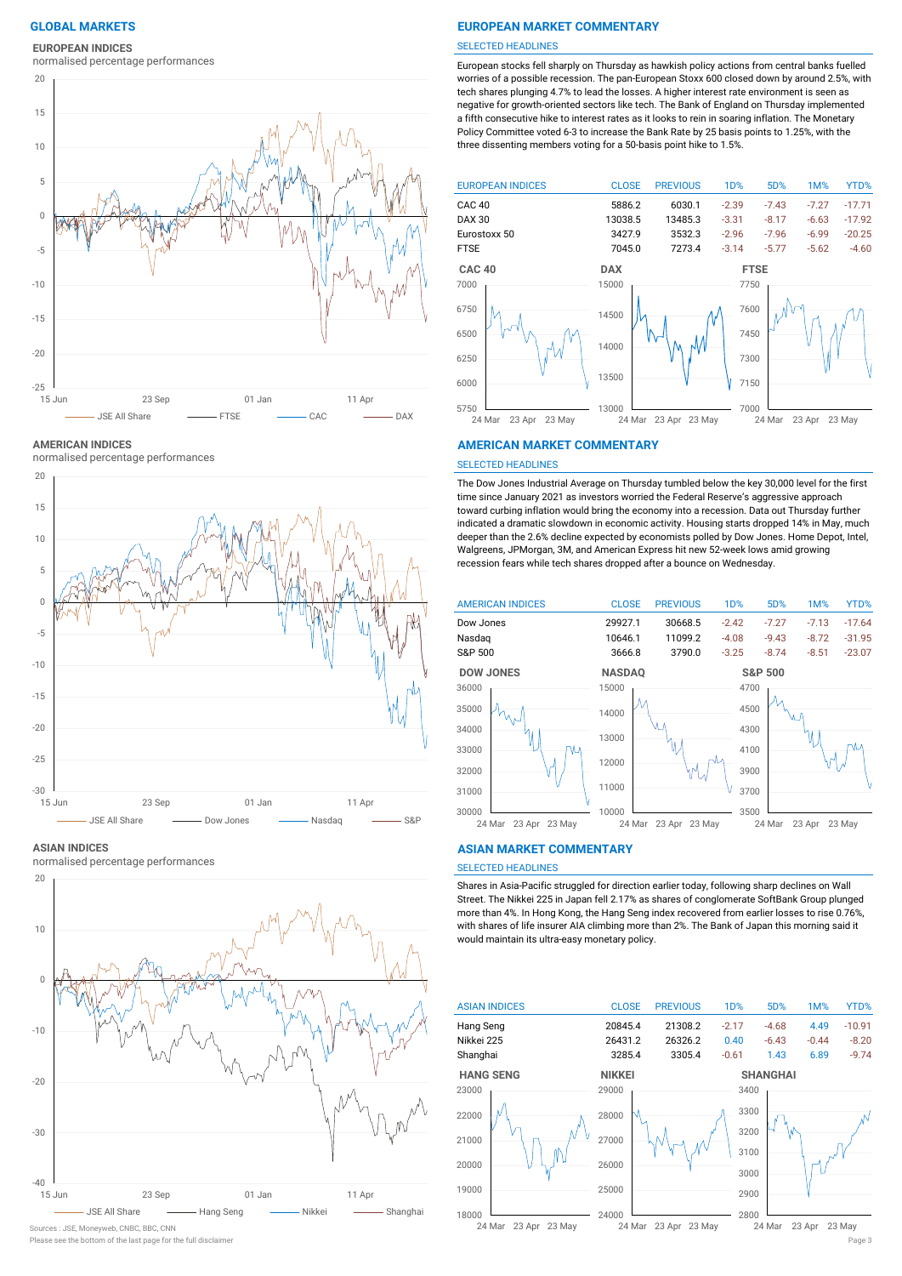## **EUROPEAN INDICES**

normalised percentage performances



**AMERICAN INDICES**

normalised percentage performances



#### **ASIAN INDICES**

normalised percentage performances



Sources : JSE, Moneyweb, CNBC, BBC, CNN

## **GLOBAL MARKETS EUROPEAN MARKET COMMENTARY**

#### SELECTED HEADLINES

European stocks fell sharply on Thursday as hawkish policy actions from central banks fuelled worries of a possible recession. The pan-European Stoxx 600 closed down by around 2.5%, with tech shares plunging 4.7% to lead the losses. A higher interest rate environment is seen as negative for growth-oriented sectors like tech. The Bank of England on Thursday implemented a fifth consecutive hike to interest rates as it looks to rein in soaring inflation. The Monetary Policy Committee voted 6-3 to increase the Bank Rate by 25 basis points to 1.25%, with the three dissenting members voting for a 50-basis point hike to 1.5%.



### **AMERICAN MARKET COMMENTARY**

#### SELECTED HEADLINES

The Dow Jones Industrial Average on Thursday tumbled below the key 30,000 level for the first time since January 2021 as investors worried the Federal Reserve's aggressive approach toward curbing inflation would bring the economy into a recession. Data out Thursday further indicated a dramatic slowdown in economic activity. Housing starts dropped 14% in May, much deeper than the 2.6% decline expected by economists polled by Dow Jones. Home Depot, Intel, Walgreens, JPMorgan, 3M, and American Express hit new 52-week lows amid growing recession fears while tech shares dropped after a bounce on Wednesday.



#### **ASIAN MARKET COMMENTARY**

## SELECTED HEADLINES

Shares in Asia-Pacific struggled for direction earlier today, following sharp declines on Wall Street. The Nikkei 225 in Japan fell 2.17% as shares of conglomerate SoftBank Group plunged more than 4%. In Hong Kong, the Hang Seng index recovered from earlier losses to rise 0.76%, with shares of life insurer AIA climbing more than 2%. The Bank of Japan this morning said it would maintain its ultra-easy monetary policy.